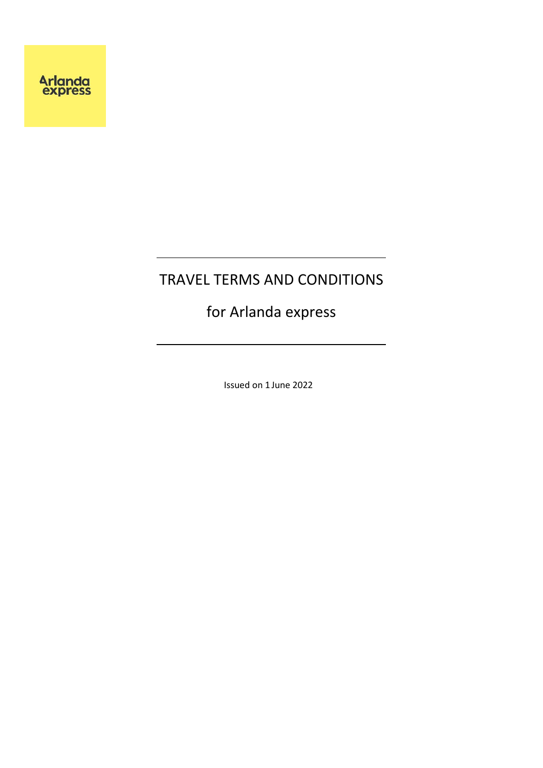# TRAVEL TERMS AND CONDITIONS

# for Arlanda express

Issued on 1 June 2022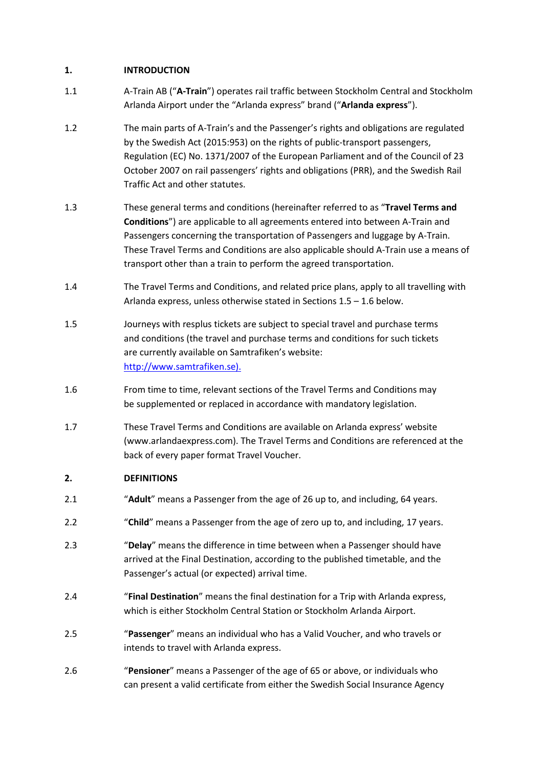## **1. INTRODUCTION**

- 1.1 A-Train AB ("**A-Train**") operates rail traffic between Stockholm Central and Stockholm Arlanda Airport under the "Arlanda express" brand ("**Arlanda express**").
- 1.2 The main parts of A-Train's and the Passenger's rights and obligations are regulated by the Swedish Act (2015:953) on the rights of public-transport passengers, Regulation (EC) No. 1371/2007 of the European Parliament and of the Council of 23 October 2007 on rail passengers' rights and obligations (PRR), and the Swedish Rail Traffic Act and other statutes.
- 1.3 These general terms and conditions (hereinafter referred to as "**Travel Terms and Conditions**") are applicable to all agreements entered into between A-Train and Passengers concerning the transportation of Passengers and luggage by A-Train. These Travel Terms and Conditions are also applicable should A-Train use a means of transport other than a train to perform the agreed transportation.
- 1.4 The Travel Terms and Conditions, and related price plans, apply to all travelling with Arlanda express, unless otherwise stated in Sections 1.5 – 1.6 below.
- 1.5 Journeys with resplus tickets are subject to special travel and purchase terms and conditions (the travel and purchase terms and conditions for such tickets are currently available on Samtrafiken's website: [http://www.samtrafiken.se\).](http://www.samtrafiken.se)./)
- 1.6 From time to time, relevant sections of the Travel Terms and Conditions may be supplemented or replaced in accordance with mandatory legislation.
- 1.7 These Travel Terms and Conditions are available on Arlanda express' website (www.arlandaexpress.com). The Travel Terms and Conditions are referenced at the back of every paper format Travel Voucher.

# **2. DEFINITIONS**

- 2.1 "**Adult**" means a Passenger from the age of 26 up to, and including, 64 years.
- 2.2 "**Child**" means a Passenger from the age of zero up to, and including, 17 years.
- 2.3 "**Delay**" means the difference in time between when a Passenger should have arrived at the Final Destination, according to the published timetable, and the Passenger's actual (or expected) arrival time.
- 2.4 "**Final Destination**" means the final destination for a Trip with Arlanda express, which is either Stockholm Central Station or Stockholm Arlanda Airport.
- 2.5 "**Passenger**" means an individual who has a Valid Voucher, and who travels or intends to travel with Arlanda express.
- 2.6 "**Pensioner**" means a Passenger of the age of 65 or above, or individuals who can present a valid certificate from either the Swedish Social Insurance Agency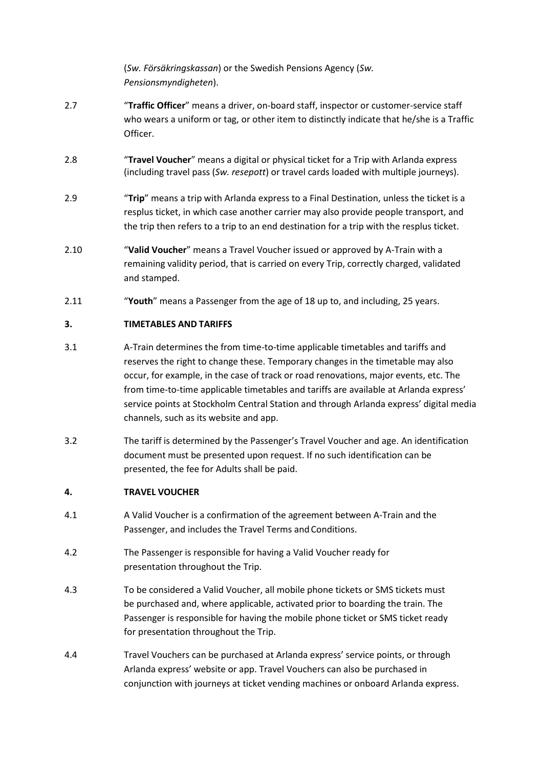(*Sw. Försäkringskassan*) or the Swedish Pensions Agency (*Sw. Pensionsmyndigheten*).

- 2.7 "**Traffic Officer**" means a driver, on-board staff, inspector or customer-service staff who wears a uniform or tag, or other item to distinctly indicate that he/she is a Traffic Officer.
- 2.8 "**Travel Voucher**" means a digital or physical ticket for a Trip with Arlanda express (including travel pass (*Sw. resepott*) or travel cards loaded with multiple journeys).
- 2.9 "**Trip**" means a trip with Arlanda express to a Final Destination, unless the ticket is a resplus ticket, in which case another carrier may also provide people transport, and the trip then refers to a trip to an end destination for a trip with the resplus ticket.
- 2.10 "**Valid Voucher**" means a Travel Voucher issued or approved by A-Train with a remaining validity period, that is carried on every Trip, correctly charged, validated and stamped.
- 2.11 "**Youth**" means a Passenger from the age of 18 up to, and including, 25 years.

# **3. TIMETABLES AND TARIFFS**

- 3.1 A-Train determines the from time-to-time applicable timetables and tariffs and reserves the right to change these. Temporary changes in the timetable may also occur, for example, in the case of track or road renovations, major events, etc. The from time-to-time applicable timetables and tariffs are available at Arlanda express' service points at Stockholm Central Station and through Arlanda express' digital media channels, such as its website and app.
- 3.2 The tariff is determined by the Passenger's Travel Voucher and age. An identification document must be presented upon request. If no such identification can be presented, the fee for Adults shall be paid.

## **4. TRAVEL VOUCHER**

- 4.1 A Valid Voucher is a confirmation of the agreement between A-Train and the Passenger, and includes the Travel Terms and Conditions.
- 4.2 The Passenger is responsible for having a Valid Voucher ready for presentation throughout the Trip.
- 4.3 To be considered a Valid Voucher, all mobile phone tickets or SMS tickets must be purchased and, where applicable, activated prior to boarding the train. The Passenger is responsible for having the mobile phone ticket or SMS ticket ready for presentation throughout the Trip.
- 4.4 Travel Vouchers can be purchased at Arlanda express' service points, or through Arlanda express' website or app. Travel Vouchers can also be purchased in conjunction with journeys at ticket vending machines or onboard Arlanda express.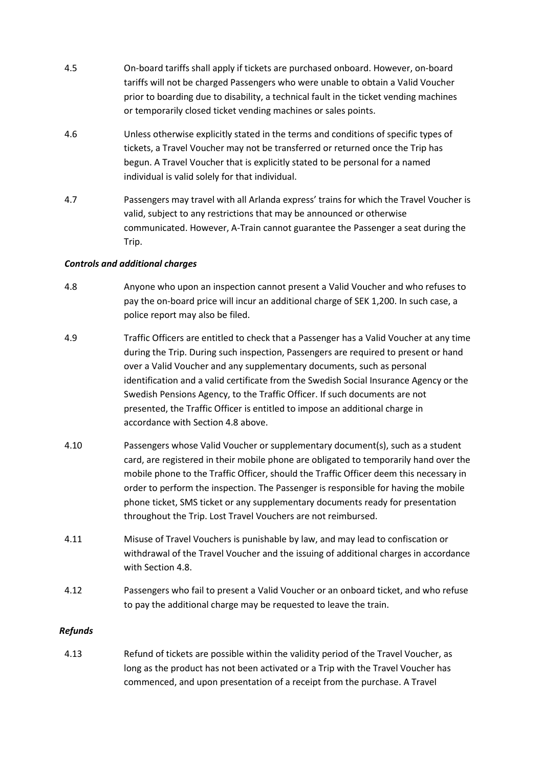- 4.5 On-board tariffs shall apply if tickets are purchased onboard. However, on-board tariffs will not be charged Passengers who were unable to obtain a Valid Voucher prior to boarding due to disability, a technical fault in the ticket vending machines or temporarily closed ticket vending machines or sales points.
- 4.6 Unless otherwise explicitly stated in the terms and conditions of specific types of tickets, a Travel Voucher may not be transferred or returned once the Trip has begun. A Travel Voucher that is explicitly stated to be personal for a named individual is valid solely for that individual.
- 4.7 Passengers may travel with all Arlanda express' trains for which the Travel Voucher is valid, subject to any restrictions that may be announced or otherwise communicated. However, A-Train cannot guarantee the Passenger a seat during the Trip.

# *Controls and additional charges*

- 4.8 Anyone who upon an inspection cannot present a Valid Voucher and who refuses to pay the on-board price will incur an additional charge of SEK 1,200. In such case, a police report may also be filed.
- 4.9 Traffic Officers are entitled to check that a Passenger has a Valid Voucher at any time during the Trip. During such inspection, Passengers are required to present or hand over a Valid Voucher and any supplementary documents, such as personal identification and a valid certificate from the Swedish Social Insurance Agency or the Swedish Pensions Agency, to the Traffic Officer. If such documents are not presented, the Traffic Officer is entitled to impose an additional charge in accordance with Section 4.8 above.
- 4.10 Passengers whose Valid Voucher or supplementary document(s), such as a student card, are registered in their mobile phone are obligated to temporarily hand over the mobile phone to the Traffic Officer, should the Traffic Officer deem this necessary in order to perform the inspection. The Passenger is responsible for having the mobile phone ticket, SMS ticket or any supplementary documents ready for presentation throughout the Trip. Lost Travel Vouchers are not reimbursed.
- 4.11 Misuse of Travel Vouchers is punishable by law, and may lead to confiscation or withdrawal of the Travel Voucher and the issuing of additional charges in accordance with Section 4.8.
- 4.12 Passengers who fail to present a Valid Voucher or an onboard ticket, and who refuse to pay the additional charge may be requested to leave the train.

# *Refunds*

4.13 Refund of tickets are possible within the validity period of the Travel Voucher, as long as the product has not been activated or a Trip with the Travel Voucher has commenced, and upon presentation of a receipt from the purchase. A Travel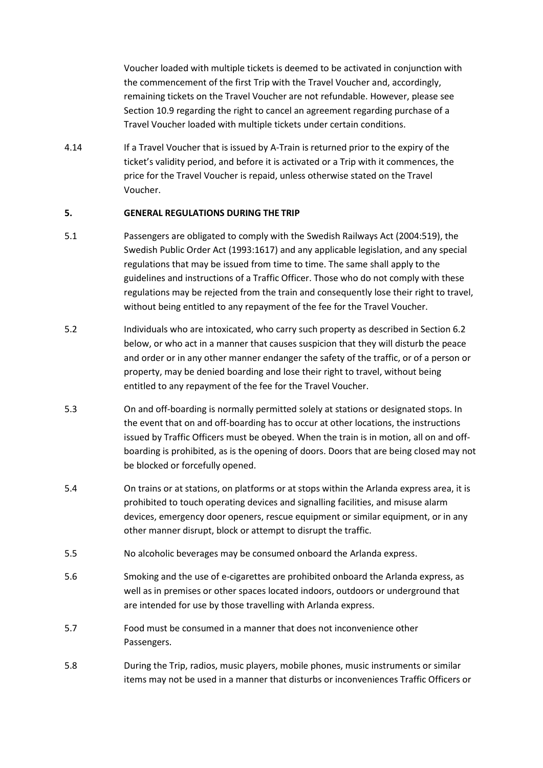Voucher loaded with multiple tickets is deemed to be activated in conjunction with the commencement of the first Trip with the Travel Voucher and, accordingly, remaining tickets on the Travel Voucher are not refundable. However, please see Section 10.9 regarding the right to cancel an agreement regarding purchase of a Travel Voucher loaded with multiple tickets under certain conditions.

4.14 If a Travel Voucher that is issued by A-Train is returned prior to the expiry of the ticket's validity period, and before it is activated or a Trip with it commences, the price for the Travel Voucher is repaid, unless otherwise stated on the Travel Voucher.

# **5. GENERAL REGULATIONS DURING THE TRIP**

- 5.1 Passengers are obligated to comply with the Swedish Railways Act (2004:519), the Swedish Public Order Act (1993:1617) and any applicable legislation, and any special regulations that may be issued from time to time. The same shall apply to the guidelines and instructions of a Traffic Officer. Those who do not comply with these regulations may be rejected from the train and consequently lose their right to travel, without being entitled to any repayment of the fee for the Travel Voucher.
- 5.2 Individuals who are intoxicated, who carry such property as described in Section 6.2 below, or who act in a manner that causes suspicion that they will disturb the peace and order or in any other manner endanger the safety of the traffic, or of a person or property, may be denied boarding and lose their right to travel, without being entitled to any repayment of the fee for the Travel Voucher.
- 5.3 On and off-boarding is normally permitted solely at stations or designated stops. In the event that on and off-boarding has to occur at other locations, the instructions issued by Traffic Officers must be obeyed. When the train is in motion, all on and offboarding is prohibited, as is the opening of doors. Doors that are being closed may not be blocked or forcefully opened.
- 5.4 On trains or at stations, on platforms or at stops within the Arlanda express area, it is prohibited to touch operating devices and signalling facilities, and misuse alarm devices, emergency door openers, rescue equipment or similar equipment, or in any other manner disrupt, block or attempt to disrupt the traffic.
- 5.5 No alcoholic beverages may be consumed onboard the Arlanda express.
- 5.6 Smoking and the use of e-cigarettes are prohibited onboard the Arlanda express, as well as in premises or other spaces located indoors, outdoors or underground that are intended for use by those travelling with Arlanda express.
- 5.7 Food must be consumed in a manner that does not inconvenience other Passengers.
- 5.8 During the Trip, radios, music players, mobile phones, music instruments or similar items may not be used in a manner that disturbs or inconveniences Traffic Officers or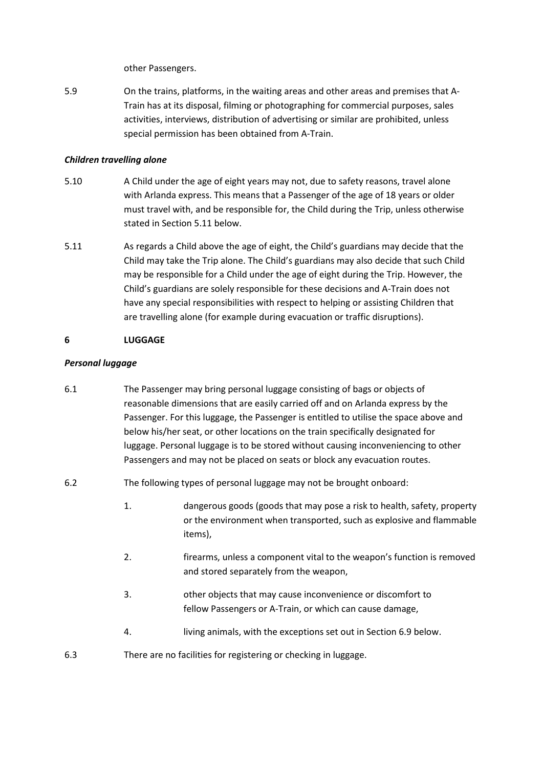other Passengers.

5.9 On the trains, platforms, in the waiting areas and other areas and premises that A-Train has at its disposal, filming or photographing for commercial purposes, sales activities, interviews, distribution of advertising or similar are prohibited, unless special permission has been obtained from A-Train.

## *Children travelling alone*

- 5.10 A Child under the age of eight years may not, due to safety reasons, travel alone with Arlanda express. This means that a Passenger of the age of 18 years or older must travel with, and be responsible for, the Child during the Trip, unless otherwise stated in Section 5.11 below.
- 5.11 As regards a Child above the age of eight, the Child's guardians may decide that the Child may take the Trip alone. The Child's guardians may also decide that such Child may be responsible for a Child under the age of eight during the Trip. However, the Child's guardians are solely responsible for these decisions and A-Train does not have any special responsibilities with respect to helping or assisting Children that are travelling alone (for example during evacuation or traffic disruptions).

# **6 LUGGAGE**

# *Personal luggage*

- 6.1 The Passenger may bring personal luggage consisting of bags or objects of reasonable dimensions that are easily carried off and on Arlanda express by the Passenger. For this luggage, the Passenger is entitled to utilise the space above and below his/her seat, or other locations on the train specifically designated for luggage. Personal luggage is to be stored without causing inconveniencing to other Passengers and may not be placed on seats or block any evacuation routes.
- 6.2 The following types of personal luggage may not be brought onboard:
	- 1. dangerous goods (goods that may pose a risk to health, safety, property or the environment when transported, such as explosive and flammable items),
	- 2. firearms, unless a component vital to the weapon's function is removed and stored separately from the weapon,
	- 3. other objects that may cause inconvenience or discomfort to fellow Passengers or A-Train, or which can cause damage,
	- 4. living animals, with the exceptions set out in Section 6.9 below.
- 6.3 There are no facilities for registering or checking in luggage.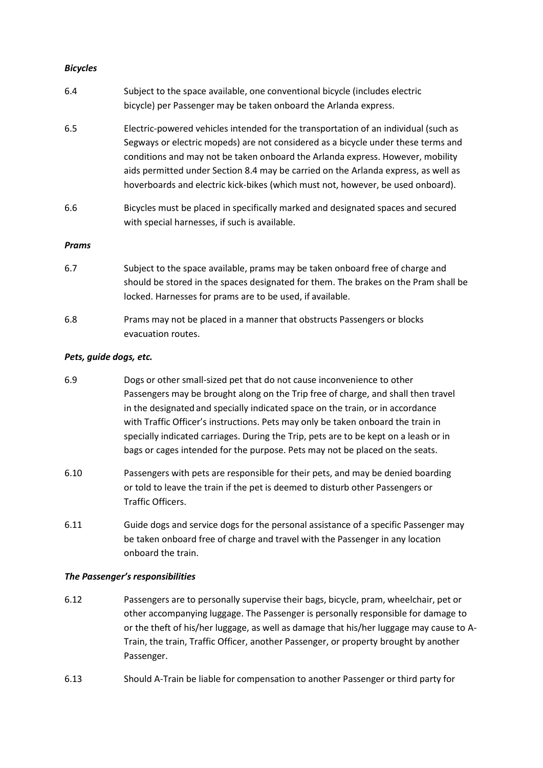## *Bicycles*

| 6.4          | Subject to the space available, one conventional bicycle (includes electric<br>bicycle) per Passenger may be taken onboard the Arlanda express.                                                                                                                                                                                                                                                                                     |
|--------------|-------------------------------------------------------------------------------------------------------------------------------------------------------------------------------------------------------------------------------------------------------------------------------------------------------------------------------------------------------------------------------------------------------------------------------------|
| 6.5          | Electric-powered vehicles intended for the transportation of an individual (such as<br>Segways or electric mopeds) are not considered as a bicycle under these terms and<br>conditions and may not be taken onboard the Arlanda express. However, mobility<br>aids permitted under Section 8.4 may be carried on the Arlanda express, as well as<br>hoverboards and electric kick-bikes (which must not, however, be used onboard). |
| 6.6          | Bicycles must be placed in specifically marked and designated spaces and secured<br>with special harnesses, if such is available.                                                                                                                                                                                                                                                                                                   |
| <b>Prams</b> |                                                                                                                                                                                                                                                                                                                                                                                                                                     |
| 6.7          | Subject to the space available, prams may be taken onboard free of charge and<br>should be stored in the spaces designated for them. The brakes on the Pram shall be<br>locked. Harnesses for prams are to be used, if available.                                                                                                                                                                                                   |
| 6.8          | Prams may not be placed in a manner that obstructs Passengers or blocks                                                                                                                                                                                                                                                                                                                                                             |

#### *Pets, guide dogs, etc.*

evacuation routes.

- 6.9 Dogs or other small-sized pet that do not cause inconvenience to other Passengers may be brought along on the Trip free of charge, and shall then travel in the designated and specially indicated space on the train, or in accordance with Traffic Officer's instructions. Pets may only be taken onboard the train in specially indicated carriages. During the Trip, pets are to be kept on a leash or in bags or cages intended for the purpose. Pets may not be placed on the seats.
- 6.10 Passengers with pets are responsible for their pets, and may be denied boarding or told to leave the train if the pet is deemed to disturb other Passengers or Traffic Officers.
- 6.11 Guide dogs and service dogs for the personal assistance of a specific Passenger may be taken onboard free of charge and travel with the Passenger in any location onboard the train.

## *The Passenger's responsibilities*

- 6.12 Passengers are to personally supervise their bags, bicycle, pram, wheelchair, pet or other accompanying luggage. The Passenger is personally responsible for damage to or the theft of his/her luggage, as well as damage that his/her luggage may cause to A-Train, the train, Traffic Officer, another Passenger, or property brought by another Passenger.
- 6.13 Should A-Train be liable for compensation to another Passenger or third party for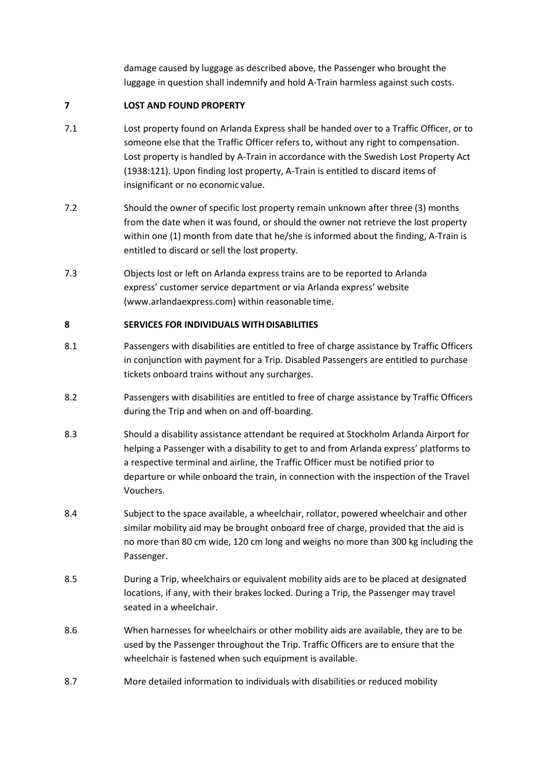damage caused by luggage as described above, the Passenger who brought the luggage in question shall indemnify and hold A-Train harmless against such costs.

# **7 LOST AND FOUND PROPERTY**

- 7.1 Lost property found on Arlanda Express shall be handed over to a Traffic Officer, or to someone else that the Traffic Officer refers to, without any right to compensation. Lost property is handled by A-Train in accordance with the Swedish Lost Property Act (1938:121). Upon finding lost property, A-Train is entitled to discard items of insignificant or no economic value.
- 7.2 Should the owner of specific lost property remain unknown after three (3) months from the date when it was found, or should the owner not retrieve the lost property within one (1) month from date that he/she is informed about the finding, A-Train is entitled to discard or sell the lost property.
- 7.3 Objects lost or left on Arlanda express trains are to be reported to Arlanda express' customer service department or via Arlanda express' website (www.arlandaexpress.com) within reasonable time.

## **8 SERVICES FOR INDIVIDUALS WITHDISABILITIES**

- 8.1 Passengers with disabilities are entitled to free of charge assistance by Traffic Officers in conjunction with payment for a Trip. Disabled Passengers are entitled to purchase tickets onboard trains without any surcharges.
- 8.2 Passengers with disabilities are entitled to free of charge assistance by Traffic Officers during the Trip and when on and off-boarding.
- 8.3 Should a disability assistance attendant be required at Stockholm Arlanda Airport for helping a Passenger with a disability to get to and from Arlanda express' platforms to a respective terminal and airline, the Traffic Officer must be notified prior to departure or while onboard the train, in connection with the inspection of the Travel Vouchers.
- 8.4 Subject to the space available, a wheelchair, rollator, powered wheelchair and other similar mobility aid may be brought onboard free of charge, provided that the aid is no more than 80 cm wide, 120 cm long and weighs no more than 300 kg including the Passenger.
- 8.5 During a Trip, wheelchairs or equivalent mobility aids are to be placed at designated locations, if any, with their brakes locked. During a Trip, the Passenger may travel seated in a wheelchair.
- 8.6 When harnesses for wheelchairs or other mobility aids are available, they are to be used by the Passenger throughout the Trip. Traffic Officers are to ensure that the wheelchair is fastened when such equipment is available.
- 8.7 More detailed information to individuals with disabilities or reduced mobility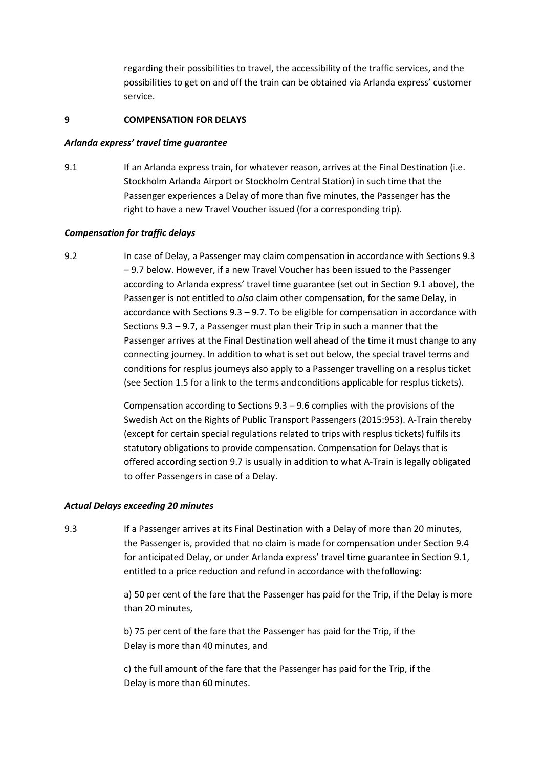regarding their possibilities to travel, the accessibility of the traffic services, and the possibilities to get on and off the train can be obtained via Arlanda express' customer service.

#### **9 COMPENSATION FOR DELAYS**

#### *Arlanda express' travel time guarantee*

9.1 If an Arlanda express train, for whatever reason, arrives at the Final Destination (i.e. Stockholm Arlanda Airport or Stockholm Central Station) in such time that the Passenger experiences a Delay of more than five minutes, the Passenger has the right to have a new Travel Voucher issued (for a corresponding trip).

## *Compensation for traffic delays*

9.2 In case of Delay, a Passenger may claim compensation in accordance with Sections 9.3 – 9.7 below. However, if a new Travel Voucher has been issued to the Passenger according to Arlanda express' travel time guarantee (set out in Section 9.1 above), the Passenger is not entitled to *also* claim other compensation, for the same Delay, in accordance with Sections 9.3 – 9.7. To be eligible for compensation in accordance with Sections 9.3 – 9.7, a Passenger must plan their Trip in such a manner that the Passenger arrives at the Final Destination well ahead of the time it must change to any connecting journey. In addition to what is set out below, the special travel terms and conditions for resplus journeys also apply to a Passenger travelling on a resplus ticket (see Section 1.5 for a link to the terms andconditions applicable for resplus tickets).

> Compensation according to Sections 9.3 – 9.6 complies with the provisions of the Swedish Act on the Rights of Public Transport Passengers (2015:953). A-Train thereby (except for certain special regulations related to trips with resplus tickets) fulfils its statutory obligations to provide compensation. Compensation for Delays that is offered according section 9.7 is usually in addition to what A-Train is legally obligated to offer Passengers in case of a Delay.

## *Actual Delays exceeding 20 minutes*

9.3 If a Passenger arrives at its Final Destination with a Delay of more than 20 minutes, the Passenger is, provided that no claim is made for compensation under Section 9.4 for anticipated Delay, or under Arlanda express' travel time guarantee in Section 9.1, entitled to a price reduction and refund in accordance with thefollowing:

> a) 50 per cent of the fare that the Passenger has paid for the Trip, if the Delay is more than 20 minutes,

b) 75 per cent of the fare that the Passenger has paid for the Trip, if the Delay is more than 40 minutes, and

c) the full amount of the fare that the Passenger has paid for the Trip, if the Delay is more than 60 minutes.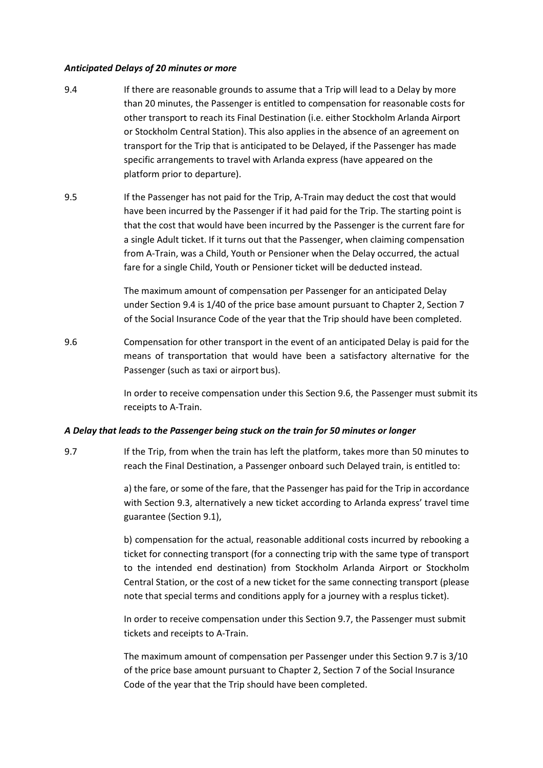#### *Anticipated Delays of 20 minutes or more*

- 9.4 If there are reasonable grounds to assume that a Trip will lead to a Delay by more than 20 minutes, the Passenger is entitled to compensation for reasonable costs for other transport to reach its Final Destination (i.e. either Stockholm Arlanda Airport or Stockholm Central Station). This also applies in the absence of an agreement on transport for the Trip that is anticipated to be Delayed, if the Passenger has made specific arrangements to travel with Arlanda express (have appeared on the platform prior to departure).
- 9.5 If the Passenger has not paid for the Trip, A-Train may deduct the cost that would have been incurred by the Passenger if it had paid for the Trip. The starting point is that the cost that would have been incurred by the Passenger is the current fare for a single Adult ticket. If it turns out that the Passenger, when claiming compensation from A-Train, was a Child, Youth or Pensioner when the Delay occurred, the actual fare for a single Child, Youth or Pensioner ticket will be deducted instead.

The maximum amount of compensation per Passenger for an anticipated Delay under Section 9.4 is 1/40 of the price base amount pursuant to Chapter 2, Section 7 of the Social Insurance Code of the year that the Trip should have been completed.

9.6 Compensation for other transport in the event of an anticipated Delay is paid for the means of transportation that would have been a satisfactory alternative for the Passenger (such as taxi or airport bus).

> In order to receive compensation under this Section 9.6, the Passenger must submit its receipts to A-Train.

## *A Delay that leads to the Passenger being stuck on the train for 50 minutes or longer*

9.7 If the Trip, from when the train has left the platform, takes more than 50 minutes to reach the Final Destination, a Passenger onboard such Delayed train, is entitled to:

> a) the fare, or some of the fare, that the Passenger has paid for the Trip in accordance with Section 9.3, alternatively a new ticket according to Arlanda express' travel time guarantee (Section 9.1),

> b) compensation for the actual, reasonable additional costs incurred by rebooking a ticket for connecting transport (for a connecting trip with the same type of transport to the intended end destination) from Stockholm Arlanda Airport or Stockholm Central Station, or the cost of a new ticket for the same connecting transport (please note that special terms and conditions apply for a journey with a resplus ticket).

> In order to receive compensation under this Section 9.7, the Passenger must submit tickets and receipts to A-Train.

> The maximum amount of compensation per Passenger under this Section 9.7 is 3/10 of the price base amount pursuant to Chapter 2, Section 7 of the Social Insurance Code of the year that the Trip should have been completed.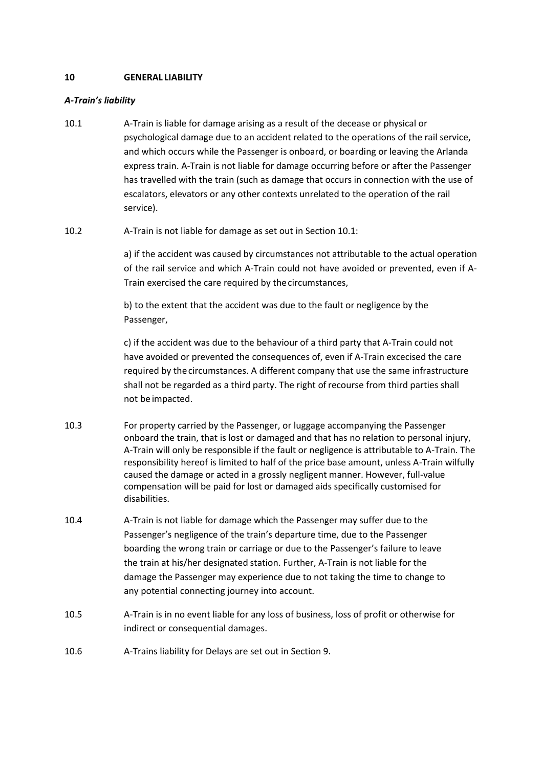# **10 GENERAL LIABILITY**

## *A-Train's liability*

- 10.1 A-Train is liable for damage arising as a result of the decease or physical or psychological damage due to an accident related to the operations of the rail service, and which occurs while the Passenger is onboard, or boarding or leaving the Arlanda express train. A-Train is not liable for damage occurring before or after the Passenger has travelled with the train (such as damage that occurs in connection with the use of escalators, elevators or any other contexts unrelated to the operation of the rail service).
- 10.2 A-Train is not liable for damage as set out in Section 10.1:

a) if the accident was caused by circumstances not attributable to the actual operation of the rail service and which A-Train could not have avoided or prevented, even if A-Train exercised the care required by thecircumstances,

b) to the extent that the accident was due to the fault or negligence by the Passenger,

c) if the accident was due to the behaviour of a third party that A-Train could not have avoided or prevented the consequences of, even if A-Train excecised the care required by thecircumstances. A different company that use the same infrastructure shall not be regarded as a third party. The right of recourse from third parties shall not be impacted.

- 10.3 For property carried by the Passenger, or luggage accompanying the Passenger onboard the train, that is lost or damaged and that has no relation to personal injury, A-Train will only be responsible if the fault or negligence is attributable to A-Train. The responsibility hereof is limited to half of the price base amount, unless A-Train wilfully caused the damage or acted in a grossly negligent manner. However, full-value compensation will be paid for lost or damaged aids specifically customised for disabilities.
- 10.4 A-Train is not liable for damage which the Passenger may suffer due to the Passenger's negligence of the train's departure time, due to the Passenger boarding the wrong train or carriage or due to the Passenger's failure to leave the train at his/her designated station. Further, A-Train is not liable for the damage the Passenger may experience due to not taking the time to change to any potential connecting journey into account.
- 10.5 A-Train is in no event liable for any loss of business, loss of profit or otherwise for indirect or consequential damages.
- 10.6 A-Trains liability for Delays are set out in Section 9.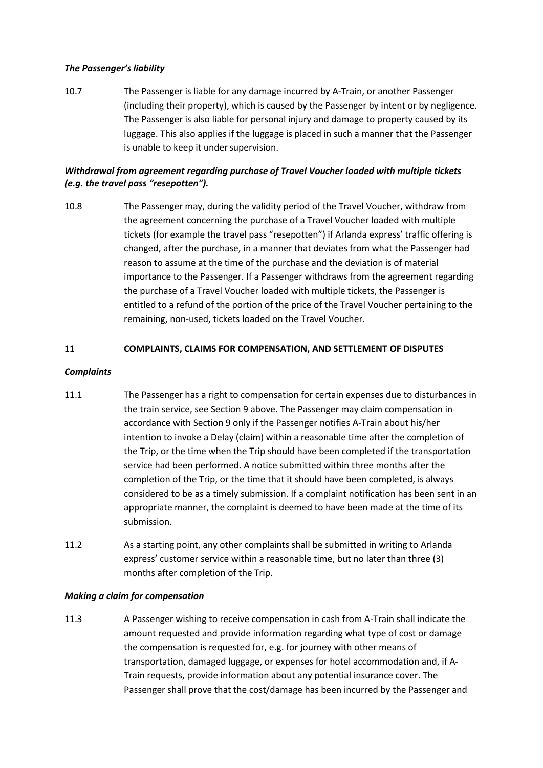## *The Passenger's liability*

10.7 The Passenger is liable for any damage incurred by A-Train, or another Passenger (including their property), which is caused by the Passenger by intent or by negligence. The Passenger is also liable for personal injury and damage to property caused by its luggage. This also applies if the luggage is placed in such a manner that the Passenger is unable to keep it under supervision.

# *Withdrawal from agreement regarding purchase of Travel Voucher loaded with multiple tickets (e.g. the travel pass "resepotten").*

10.8 The Passenger may, during the validity period of the Travel Voucher, withdraw from the agreement concerning the purchase of a Travel Voucher loaded with multiple tickets (for example the travel pass "resepotten") if Arlanda express' traffic offering is changed, after the purchase, in a manner that deviates from what the Passenger had reason to assume at the time of the purchase and the deviation is of material importance to the Passenger. If a Passenger withdraws from the agreement regarding the purchase of a Travel Voucher loaded with multiple tickets, the Passenger is entitled to a refund of the portion of the price of the Travel Voucher pertaining to the remaining, non-used, tickets loaded on the Travel Voucher.

# **11 COMPLAINTS, CLAIMS FOR COMPENSATION, AND SETTLEMENT OF DISPUTES**

## *Complaints*

- 11.1 The Passenger has a right to compensation for certain expenses due to disturbances in the train service, see Section 9 above. The Passenger may claim compensation in accordance with Section 9 only if the Passenger notifies A-Train about his/her intention to invoke a Delay (claim) within a reasonable time after the completion of the Trip, or the time when the Trip should have been completed if the transportation service had been performed. A notice submitted within three months after the completion of the Trip, or the time that it should have been completed, is always considered to be as a timely submission. If a complaint notification has been sent in an appropriate manner, the complaint is deemed to have been made at the time of its submission.
- 11.2 As a starting point, any other complaints shall be submitted in writing to Arlanda express' customer service within a reasonable time, but no later than three (3) months after completion of the Trip.

## *Making a claim for compensation*

11.3 A Passenger wishing to receive compensation in cash from A-Train shall indicate the amount requested and provide information regarding what type of cost or damage the compensation is requested for, e.g. for journey with other means of transportation, damaged luggage, or expenses for hotel accommodation and, if A-Train requests, provide information about any potential insurance cover. The Passenger shall prove that the cost/damage has been incurred by the Passenger and